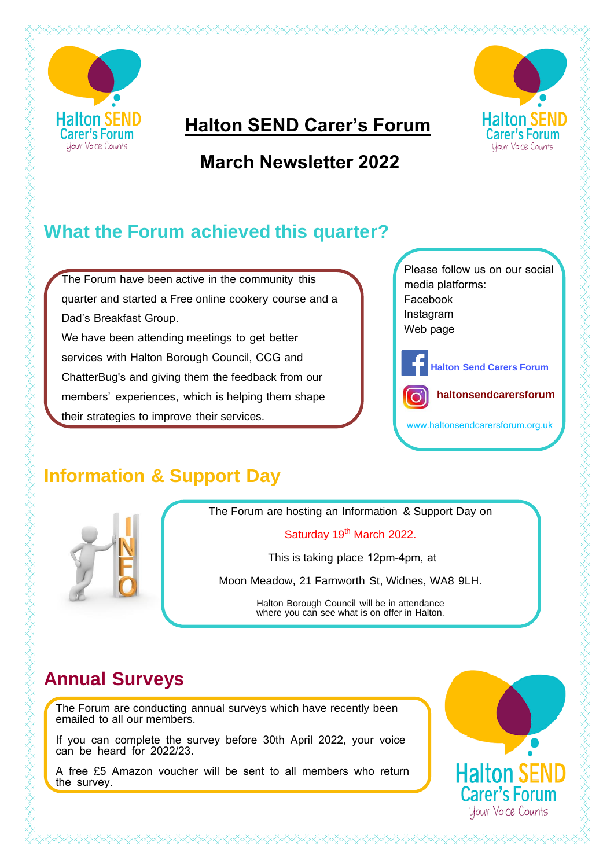

SKARARA KARAKA KARA KARA KARA KA

### **Halton SEND Carer's Forum**

# **March Newsletter 2022**



The Forum have been active in the community this quarter and started a Free online cookery course and a Dad's Breakfast Group. We have been attending meetings to get better services with Halton Borough Council, CCG and ChatterBug's and giving them the feedback from our members' experiences, which is helping them shape their strategies to improve their services.

Please follow us on our social media platforms: Facebook Instagram Web page

**Halton SEND** 

**Carer's Forum** 

Your Voice Counts

**Halton Send Carers Forum**



www.haltonsendcarersforum.org.uk

## **Information & Support Day**



The Forum are hosting an Information & Support Day on

#### Saturday 19<sup>th</sup> March 2022.

This is taking place 12pm-4pm, at

Moon Meadow, 21 Farnworth St, Widnes, WA8 9LH.

Halton Borough Council will be in attendance where you can see what is on offer in Halton.

### **Annual Surveys**

The Forum are conducting annual surveys which have recently been emailed to all our members.

If you can complete the survey before 30th April 2022, your voice can be heard for 2022/23.

A free £5 Amazon voucher will be sent to all members who return the survey.

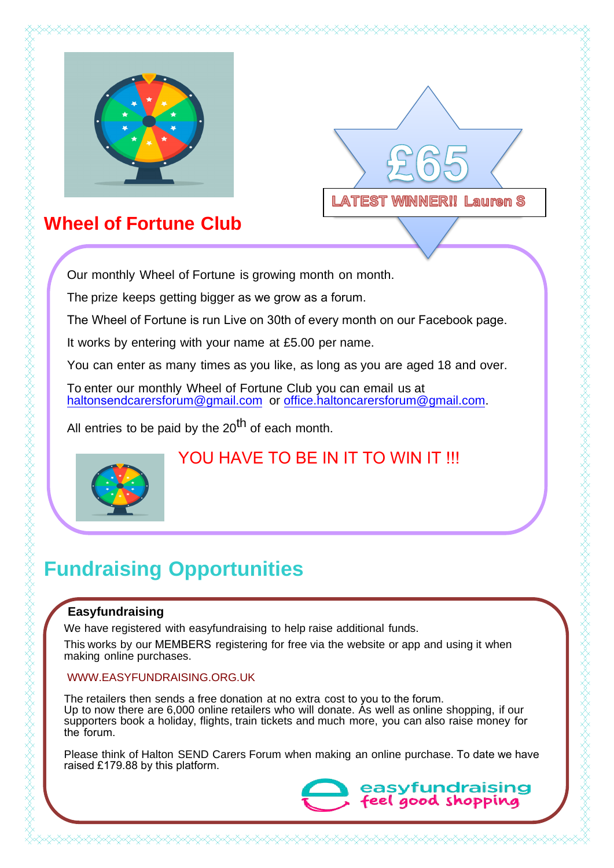



## **Wheel of Fortune Club**

Our monthly Wheel of Fortune is growing month on month.

The prize keeps getting bigger as we grow as a forum.

The Wheel of Fortune is run Live on 30th of every month on our Facebook page.

It works by entering with your name at £5.00 per name.

Yo[u can enter as many times as you](mailto:info.haltoncarersforum@gmail.com) like, as long as you are aged 18 and over.

To enter our monthly Wheel of Fortune Club you can email us at haltonsendcarersforum@gmail.com or [office.haltoncarersforum@gmail.com](mailto:office.haltoncarersforum@gmail.com).

All entries to be paid by the  $20<sup>th</sup>$  of each month.



#### YOU HAVE TO BE IN IT TO WIN IT !!!

## **Fundraising Opportunities**

#### **Easyfundraising**

We have registered with easyfundraising to help raise additional funds.

This works by our MEMBERS registering for free via the website or app and using it when making online purchases.

#### WWW.EASYFUNDRAISING.ORG.UK

The retailers then sends a free donation at no extra cost to you to the forum. Up to now there are 6,000 online retailers who will donate. As well as online shopping, if our supporters book a holiday, flights, train tickets and much more, you can also raise money for the forum.

Please think of Halton SEND Carers Forum when making an online purchase. To date we have raised £179.88 by this platform.

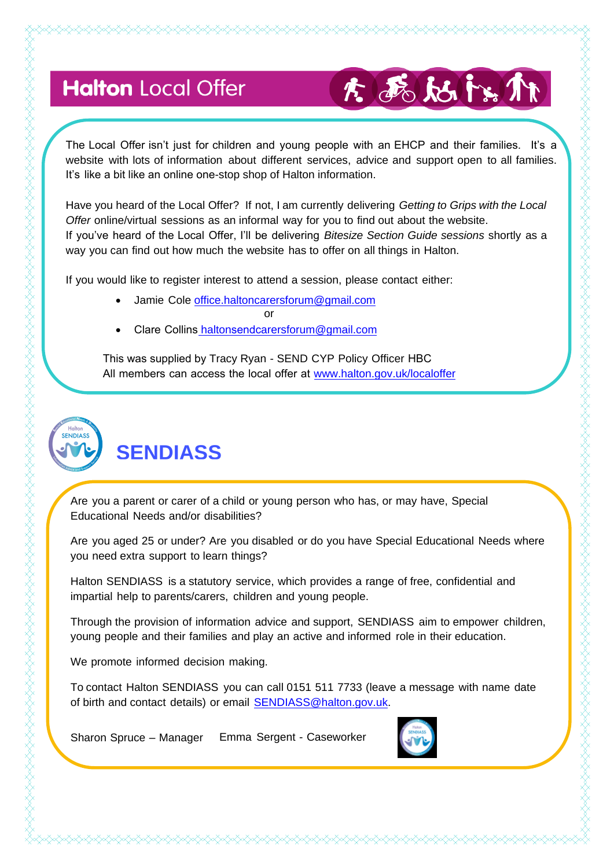# **Halton** Local Offer

# 大西姑以

The Local Offer isn't just for children and young people with an EHCP and their families. It's a website with lots of information about different services, advice and support open to all families. It's like a bit like an online one-stop shop of Halton information.

Have you heard of the Local Offer? If not, I am currently delivering *Getting to Grips with the Local Offer* online/virtual sessions as an informal way for you to find out about the website. If you've heard of the Local Offer, I'll be delivering *Bitesize Section Guide sessions* shortly as a way you can find out how much the website has to offer on all things in Halton.

If you would like to register interest to attend a session, please contact either:

- Jami[e Cole office.haltoncarersforum@gmail](mailto:office.haltoncarersforum@gmail.com).com or and the contract of the contract of the contract of the contract of the contract of the contract of the con
- Clare Collins haltonsendcarersforum@gmail.com

 [This was supplied by](http://www.halton.gov.uk/localoffer) Tracy Ryan - SEND CYP Policy Officer HBC All members can access the local offer at www.halton.gov.uk/localoffer



FRANSAR FRANSAR FRANSAR FRANSAR FRANSAR FRANSAR FRANSAR FRANSAR FRANSAR FRANSAR FRANSAR FRANSAR FRANSAR FRANSAR

Are you a parent or carer of a child or young person who has, or may have, Special

Are you aged 25 or under? Are you disabled or do you have Special Educational Needs where you need extra support to learn things?

Halton SENDIASS is a statutory service, which provides a range of free, confidential and impartial help to parents/carers, children and young people.

Through the provision of information advice and support, SENDIASS aim to empower children, young people and their families and play an active and informed role in their education.

We promote informed decision making.

Educational Needs and/or disabilities?

To contact Halton SENDIASS you can call 0151 511 7733 (leave a message with name date of birth and contact details) or e[mail SENDIASS@halton.gov.u](mailto:SENDIASS@halton.gov.uk)k.

Sharon Spruce – Manager Emma Sergent - Caseworker